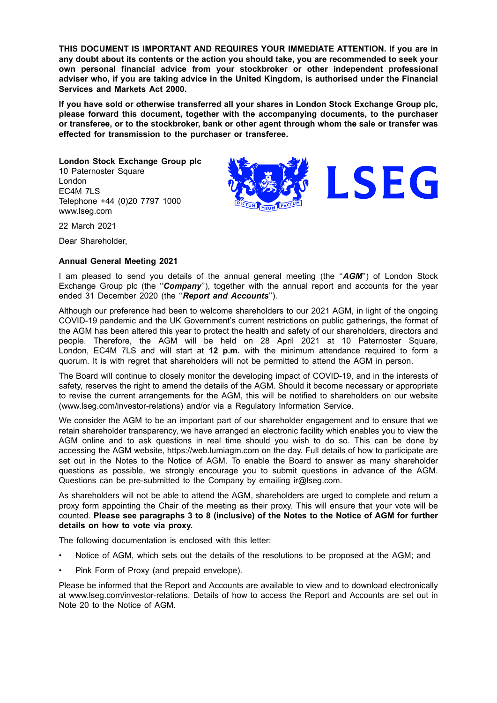**THIS DOCUMENT IS IMPORTANT AND REQUIRES YOUR IMMEDIATE ATTENTION. If you are in any doubt about its contents or the action you should take, you are recommended to seek your own personal financial advice from your stockbroker or other independent professional adviser who, if you are taking advice in the United Kingdom, is authorised under the Financial Services and Markets Act 2000.**

**If you have sold or otherwise transferred all your shares in London Stock Exchange Group plc, please forward this document, together with the accompanying documents, to the purchaser or transferee, or to the stockbroker, bank or other agent through whom the sale or transfer was effected for transmission to the purchaser or transferee.**

LSEG

**London Stock Exchange Group plc** 10 Paternoster Square London EC4M 7LS Telephone +44 (0)20 7797 1000 www.lseg.com

22 March 2021

Dear Shareholder,

### **Annual General Meeting 2021**

I am pleased to send you details of the annual general meeting (the ''*AGM*'') of London Stock Exchange Group plc (the ''*Company*''), together with the annual report and accounts for the year ended 31 December 2020 (the ''*Report and Accounts*'').

Although our preference had been to welcome shareholders to our 2021 AGM, in light of the ongoing COVID-19 pandemic and the UK Government's current restrictions on public gatherings, the format of the AGM has been altered this year to protect the health and safety of our shareholders, directors and people. Therefore, the AGM will be held on 28 April 2021 at 10 Paternoster Square, London, EC4M 7LS and will start at **12 p.m.** with the minimum attendance required to form a quorum. It is with regret that shareholders will not be permitted to attend the AGM in person.

The Board will continue to closely monitor the developing impact of COVID-19, and in the interests of safety, reserves the right to amend the details of the AGM. Should it become necessary or appropriate to revise the current arrangements for the AGM, this will be notified to shareholders on our website (www.lseg.com/investor-relations) and/or via a Regulatory Information Service.

We consider the AGM to be an important part of our shareholder engagement and to ensure that we retain shareholder transparency, we have arranged an electronic facility which enables you to view the AGM online and to ask questions in real time should you wish to do so. This can be done by accessing the AGM website, https://web.lumiagm.com on the day. Full details of how to participate are set out in the Notes to the Notice of AGM. To enable the Board to answer as many shareholder questions as possible, we strongly encourage you to submit questions in advance of the AGM. Questions can be pre-submitted to the Company by emailing ir@lseq.com.

As shareholders will not be able to attend the AGM, shareholders are urged to complete and return a proxy form appointing the Chair of the meeting as their proxy. This will ensure that your vote will be counted. **Please see paragraphs 3 to 8 (inclusive) of the Notes to the Notice of AGM for further details on how to vote via proxy.**

The following documentation is enclosed with this letter:

- Notice of AGM, which sets out the details of the resolutions to be proposed at the AGM; and
- Pink Form of Proxy (and prepaid envelope).

Please be informed that the Report and Accounts are available to view and to download electronically at www.lseg.com/investor-relations. Details of how to access the Report and Accounts are set out in Note 20 to the Notice of AGM.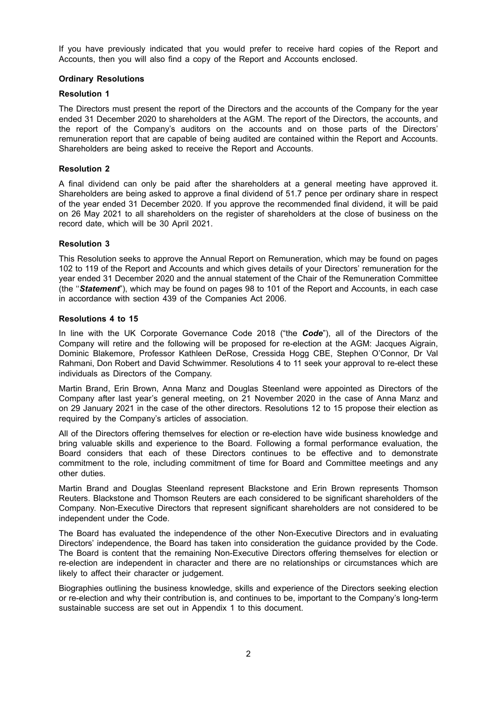If you have previously indicated that you would prefer to receive hard copies of the Report and Accounts, then you will also find a copy of the Report and Accounts enclosed.

# **Ordinary Resolutions**

# **Resolution 1**

The Directors must present the report of the Directors and the accounts of the Company for the year ended 31 December 2020 to shareholders at the AGM. The report of the Directors, the accounts, and the report of the Company's auditors on the accounts and on those parts of the Directors' remuneration report that are capable of being audited are contained within the Report and Accounts. Shareholders are being asked to receive the Report and Accounts.

# **Resolution 2**

A final dividend can only be paid after the shareholders at a general meeting have approved it. Shareholders are being asked to approve a final dividend of 51.7 pence per ordinary share in respect of the year ended 31 December 2020. If you approve the recommended final dividend, it will be paid on 26 May 2021 to all shareholders on the register of shareholders at the close of business on the record date, which will be 30 April 2021.

## **Resolution 3**

This Resolution seeks to approve the Annual Report on Remuneration, which may be found on pages 102 to 119 of the Report and Accounts and which gives details of your Directors' remuneration for the year ended 31 December 2020 and the annual statement of the Chair of the Remuneration Committee (the ''*Statement*"), which may be found on pages 98 to 101 of the Report and Accounts, in each case in accordance with section 439 of the Companies Act 2006.

### **Resolutions 4 to 15**

In line with the UK Corporate Governance Code 2018 ("the *Code*"), all of the Directors of the Company will retire and the following will be proposed for re-election at the AGM: Jacques Aigrain, Dominic Blakemore, Professor Kathleen DeRose, Cressida Hogg CBE, Stephen O'Connor, Dr Val Rahmani, Don Robert and David Schwimmer. Resolutions 4 to 11 seek your approval to re-elect these individuals as Directors of the Company.

Martin Brand, Erin Brown, Anna Manz and Douglas Steenland were appointed as Directors of the Company after last year's general meeting, on 21 November 2020 in the case of Anna Manz and on 29 January 2021 in the case of the other directors. Resolutions 12 to 15 propose their election as required by the Company's articles of association.

All of the Directors offering themselves for election or re-election have wide business knowledge and bring valuable skills and experience to the Board. Following a formal performance evaluation, the Board considers that each of these Directors continues to be effective and to demonstrate commitment to the role, including commitment of time for Board and Committee meetings and any other duties.

Martin Brand and Douglas Steenland represent Blackstone and Erin Brown represents Thomson Reuters. Blackstone and Thomson Reuters are each considered to be significant shareholders of the Company. Non-Executive Directors that represent significant shareholders are not considered to be independent under the Code.

The Board has evaluated the independence of the other Non-Executive Directors and in evaluating Directors' independence, the Board has taken into consideration the guidance provided by the Code. The Board is content that the remaining Non-Executive Directors offering themselves for election or re-election are independent in character and there are no relationships or circumstances which are likely to affect their character or judgement.

Biographies outlining the business knowledge, skills and experience of the Directors seeking election or re-election and why their contribution is, and continues to be, important to the Company's long-term sustainable success are set out in Appendix 1 to this document.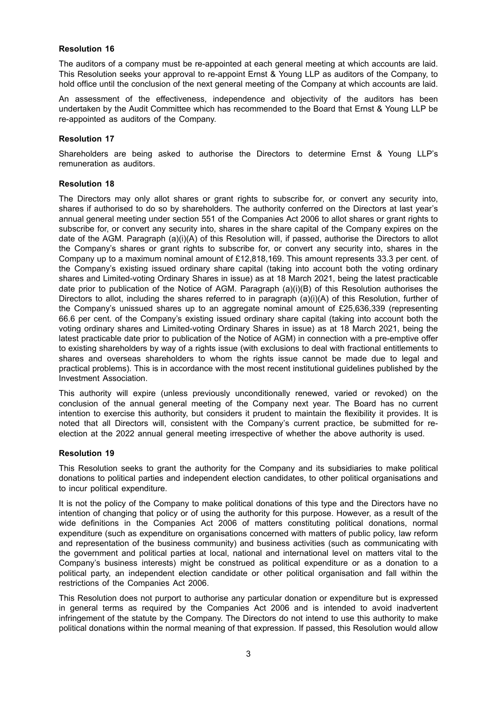# **Resolution 16**

The auditors of a company must be re-appointed at each general meeting at which accounts are laid. This Resolution seeks your approval to re-appoint Ernst & Young LLP as auditors of the Company, to hold office until the conclusion of the next general meeting of the Company at which accounts are laid.

An assessment of the effectiveness, independence and objectivity of the auditors has been undertaken by the Audit Committee which has recommended to the Board that Ernst & Young LLP be re-appointed as auditors of the Company.

## **Resolution 17**

Shareholders are being asked to authorise the Directors to determine Ernst & Young LLP's remuneration as auditors.

## **Resolution 18**

The Directors may only allot shares or grant rights to subscribe for, or convert any security into, shares if authorised to do so by shareholders. The authority conferred on the Directors at last year's annual general meeting under section 551 of the Companies Act 2006 to allot shares or grant rights to subscribe for, or convert any security into, shares in the share capital of the Company expires on the date of the AGM. Paragraph (a)(i)(A) of this Resolution will, if passed, authorise the Directors to allot the Company's shares or grant rights to subscribe for, or convert any security into, shares in the Company up to a maximum nominal amount of £12,818,169. This amount represents 33.3 per cent. of the Company's existing issued ordinary share capital (taking into account both the voting ordinary shares and Limited-voting Ordinary Shares in issue) as at 18 March 2021, being the latest practicable date prior to publication of the Notice of AGM. Paragraph (a)(i)(B) of this Resolution authorises the Directors to allot, including the shares referred to in paragraph (a)(i)(A) of this Resolution, further of the Company's unissued shares up to an aggregate nominal amount of £25,636,339 (representing 66.6 per cent. of the Company's existing issued ordinary share capital (taking into account both the voting ordinary shares and Limited-voting Ordinary Shares in issue) as at 18 March 2021, being the latest practicable date prior to publication of the Notice of AGM) in connection with a pre-emptive offer to existing shareholders by way of a rights issue (with exclusions to deal with fractional entitlements to shares and overseas shareholders to whom the rights issue cannot be made due to legal and practical problems). This is in accordance with the most recent institutional guidelines published by the Investment Association.

This authority will expire (unless previously unconditionally renewed, varied or revoked) on the conclusion of the annual general meeting of the Company next year. The Board has no current intention to exercise this authority, but considers it prudent to maintain the flexibility it provides. It is noted that all Directors will, consistent with the Company's current practice, be submitted for reelection at the 2022 annual general meeting irrespective of whether the above authority is used.

# **Resolution 19**

This Resolution seeks to grant the authority for the Company and its subsidiaries to make political donations to political parties and independent election candidates, to other political organisations and to incur political expenditure.

It is not the policy of the Company to make political donations of this type and the Directors have no intention of changing that policy or of using the authority for this purpose. However, as a result of the wide definitions in the Companies Act 2006 of matters constituting political donations, normal expenditure (such as expenditure on organisations concerned with matters of public policy, law reform and representation of the business community) and business activities (such as communicating with the government and political parties at local, national and international level on matters vital to the Company's business interests) might be construed as political expenditure or as a donation to a political party, an independent election candidate or other political organisation and fall within the restrictions of the Companies Act 2006.

This Resolution does not purport to authorise any particular donation or expenditure but is expressed in general terms as required by the Companies Act 2006 and is intended to avoid inadvertent infringement of the statute by the Company. The Directors do not intend to use this authority to make political donations within the normal meaning of that expression. If passed, this Resolution would allow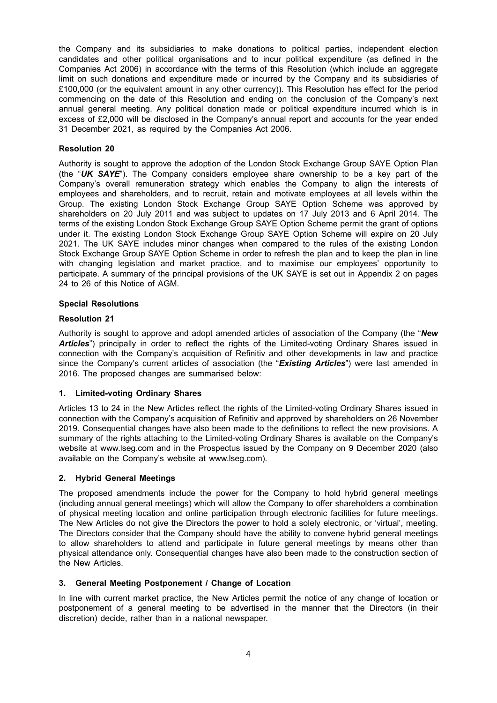the Company and its subsidiaries to make donations to political parties, independent election candidates and other political organisations and to incur political expenditure (as defined in the Companies Act 2006) in accordance with the terms of this Resolution (which include an aggregate limit on such donations and expenditure made or incurred by the Company and its subsidiaries of £100,000 (or the equivalent amount in any other currency)). This Resolution has effect for the period commencing on the date of this Resolution and ending on the conclusion of the Company's next annual general meeting. Any political donation made or political expenditure incurred which is in excess of £2,000 will be disclosed in the Company's annual report and accounts for the year ended 31 December 2021, as required by the Companies Act 2006.

# **Resolution 20**

Authority is sought to approve the adoption of the London Stock Exchange Group SAYE Option Plan (the "*UK SAYE*"). The Company considers employee share ownership to be a key part of the Company's overall remuneration strategy which enables the Company to align the interests of employees and shareholders, and to recruit, retain and motivate employees at all levels within the Group. The existing London Stock Exchange Group SAYE Option Scheme was approved by shareholders on 20 July 2011 and was subject to updates on 17 July 2013 and 6 April 2014. The terms of the existing London Stock Exchange Group SAYE Option Scheme permit the grant of options under it. The existing London Stock Exchange Group SAYE Option Scheme will expire on 20 July 2021. The UK SAYE includes minor changes when compared to the rules of the existing London Stock Exchange Group SAYE Option Scheme in order to refresh the plan and to keep the plan in line with changing legislation and market practice, and to maximise our employees' opportunity to participate. A summary of the principal provisions of the UK SAYE is set out in Appendix 2 on pages 24 to 26 of this Notice of AGM.

## **Special Resolutions**

## **Resolution 21**

Authority is sought to approve and adopt amended articles of association of the Company (the "*New Articles*") principally in order to reflect the rights of the Limited-voting Ordinary Shares issued in connection with the Company's acquisition of Refinitiv and other developments in law and practice since the Company's current articles of association (the "*Existing Articles*") were last amended in 2016. The proposed changes are summarised below:

# **1. Limited-voting Ordinary Shares**

Articles 13 to 24 in the New Articles reflect the rights of the Limited-voting Ordinary Shares issued in connection with the Company's acquisition of Refinitiv and approved by shareholders on 26 November 2019. Consequential changes have also been made to the definitions to reflect the new provisions. A summary of the rights attaching to the Limited-voting Ordinary Shares is available on the Company's website at www.lseg.com and in the Prospectus issued by the Company on 9 December 2020 (also available on the Company's website at www.lseg.com).

### **2. Hybrid General Meetings**

The proposed amendments include the power for the Company to hold hybrid general meetings (including annual general meetings) which will allow the Company to offer shareholders a combination of physical meeting location and online participation through electronic facilities for future meetings. The New Articles do not give the Directors the power to hold a solely electronic, or 'virtual', meeting. The Directors consider that the Company should have the ability to convene hybrid general meetings to allow shareholders to attend and participate in future general meetings by means other than physical attendance only. Consequential changes have also been made to the construction section of the New Articles.

### **3. General Meeting Postponement / Change of Location**

In line with current market practice, the New Articles permit the notice of any change of location or postponement of a general meeting to be advertised in the manner that the Directors (in their discretion) decide, rather than in a national newspaper.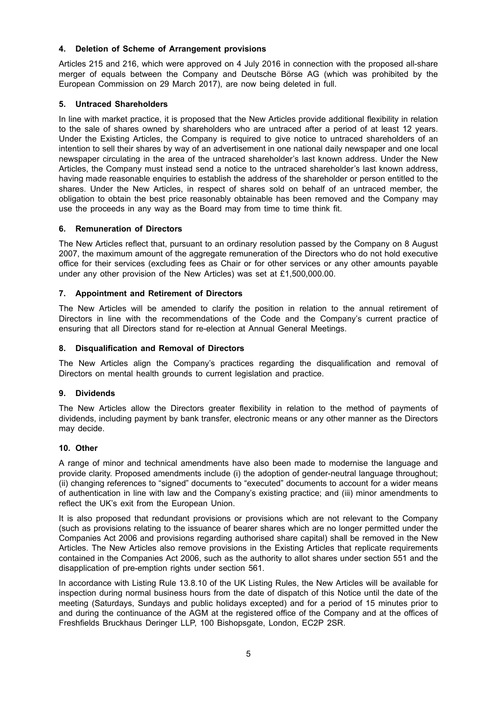# **4. Deletion of Scheme of Arrangement provisions**

Articles 215 and 216, which were approved on 4 July 2016 in connection with the proposed all-share merger of equals between the Company and Deutsche Börse AG (which was prohibited by the European Commission on 29 March 2017), are now being deleted in full.

# **5. Untraced Shareholders**

In line with market practice, it is proposed that the New Articles provide additional flexibility in relation to the sale of shares owned by shareholders who are untraced after a period of at least 12 years. Under the Existing Articles, the Company is required to give notice to untraced shareholders of an intention to sell their shares by way of an advertisement in one national daily newspaper and one local newspaper circulating in the area of the untraced shareholder's last known address. Under the New Articles, the Company must instead send a notice to the untraced shareholder's last known address, having made reasonable enquiries to establish the address of the shareholder or person entitled to the shares. Under the New Articles, in respect of shares sold on behalf of an untraced member, the obligation to obtain the best price reasonably obtainable has been removed and the Company may use the proceeds in any way as the Board may from time to time think fit.

## **6. Remuneration of Directors**

The New Articles reflect that, pursuant to an ordinary resolution passed by the Company on 8 August 2007, the maximum amount of the aggregate remuneration of the Directors who do not hold executive office for their services (excluding fees as Chair or for other services or any other amounts payable under any other provision of the New Articles) was set at £1,500,000.00.

### **7. Appointment and Retirement of Directors**

The New Articles will be amended to clarify the position in relation to the annual retirement of Directors in line with the recommendations of the Code and the Company's current practice of ensuring that all Directors stand for re-election at Annual General Meetings.

## **8. Disqualification and Removal of Directors**

The New Articles align the Company's practices regarding the disqualification and removal of Directors on mental health grounds to current legislation and practice.

### **9. Dividends**

The New Articles allow the Directors greater flexibility in relation to the method of payments of dividends, including payment by bank transfer, electronic means or any other manner as the Directors may decide.

### **10. Other**

A range of minor and technical amendments have also been made to modernise the language and provide clarity. Proposed amendments include (i) the adoption of gender-neutral language throughout; (ii) changing references to "signed" documents to "executed" documents to account for a wider means of authentication in line with law and the Company's existing practice; and (iii) minor amendments to reflect the UK's exit from the European Union.

It is also proposed that redundant provisions or provisions which are not relevant to the Company (such as provisions relating to the issuance of bearer shares which are no longer permitted under the Companies Act 2006 and provisions regarding authorised share capital) shall be removed in the New Articles. The New Articles also remove provisions in the Existing Articles that replicate requirements contained in the Companies Act 2006, such as the authority to allot shares under section 551 and the disapplication of pre-emption rights under section 561.

In accordance with Listing Rule 13.8.10 of the UK Listing Rules, the New Articles will be available for inspection during normal business hours from the date of dispatch of this Notice until the date of the meeting (Saturdays, Sundays and public holidays excepted) and for a period of 15 minutes prior to and during the continuance of the AGM at the registered office of the Company and at the offices of Freshfields Bruckhaus Deringer LLP, 100 Bishopsgate, London, EC2P 2SR.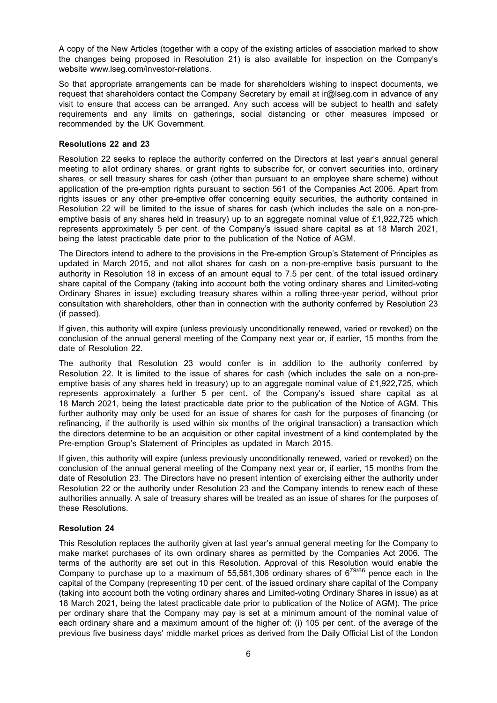A copy of the New Articles (together with a copy of the existing articles of association marked to show the changes being proposed in Resolution 21) is also available for inspection on the Company's website www.lseg.com/investor-relations.

So that appropriate arrangements can be made for shareholders wishing to inspect documents, we request that shareholders contact the Company Secretary by email at ir@lseg.com in advance of any visit to ensure that access can be arranged. Any such access will be subject to health and safety requirements and any limits on gatherings, social distancing or other measures imposed or recommended by the UK Government.

# **Resolutions 22 and 23**

Resolution 22 seeks to replace the authority conferred on the Directors at last year's annual general meeting to allot ordinary shares, or grant rights to subscribe for, or convert securities into, ordinary shares, or sell treasury shares for cash (other than pursuant to an employee share scheme) without application of the pre-emption rights pursuant to section 561 of the Companies Act 2006. Apart from rights issues or any other pre-emptive offer concerning equity securities, the authority contained in Resolution 22 will be limited to the issue of shares for cash (which includes the sale on a non-preemptive basis of any shares held in treasury) up to an aggregate nominal value of £1,922,725 which represents approximately 5 per cent. of the Company's issued share capital as at 18 March 2021, being the latest practicable date prior to the publication of the Notice of AGM.

The Directors intend to adhere to the provisions in the Pre-emption Group's Statement of Principles as updated in March 2015, and not allot shares for cash on a non-pre-emptive basis pursuant to the authority in Resolution 18 in excess of an amount equal to 7.5 per cent. of the total issued ordinary share capital of the Company (taking into account both the voting ordinary shares and Limited-voting Ordinary Shares in issue) excluding treasury shares within a rolling three-year period, without prior consultation with shareholders, other than in connection with the authority conferred by Resolution 23 (if passed).

If given, this authority will expire (unless previously unconditionally renewed, varied or revoked) on the conclusion of the annual general meeting of the Company next year or, if earlier, 15 months from the date of Resolution 22.

The authority that Resolution 23 would confer is in addition to the authority conferred by Resolution 22. It is limited to the issue of shares for cash (which includes the sale on a non-preemptive basis of any shares held in treasury) up to an aggregate nominal value of £1,922,725, which represents approximately a further 5 per cent. of the Company's issued share capital as at 18 March 2021, being the latest practicable date prior to the publication of the Notice of AGM. This further authority may only be used for an issue of shares for cash for the purposes of financing (or refinancing, if the authority is used within six months of the original transaction) a transaction which the directors determine to be an acquisition or other capital investment of a kind contemplated by the Pre-emption Group's Statement of Principles as updated in March 2015.

If given, this authority will expire (unless previously unconditionally renewed, varied or revoked) on the conclusion of the annual general meeting of the Company next year or, if earlier, 15 months from the date of Resolution 23. The Directors have no present intention of exercising either the authority under Resolution 22 or the authority under Resolution 23 and the Company intends to renew each of these authorities annually. A sale of treasury shares will be treated as an issue of shares for the purposes of these Resolutions.

# **Resolution 24**

This Resolution replaces the authority given at last year's annual general meeting for the Company to make market purchases of its own ordinary shares as permitted by the Companies Act 2006. The terms of the authority are set out in this Resolution. Approval of this Resolution would enable the Company to purchase up to a maximum of 55,581,306 ordinary shares of  $6^{79/86}$  pence each in the capital of the Company (representing 10 per cent. of the issued ordinary share capital of the Company (taking into account both the voting ordinary shares and Limited-voting Ordinary Shares in issue) as at 18 March 2021, being the latest practicable date prior to publication of the Notice of AGM). The price per ordinary share that the Company may pay is set at a minimum amount of the nominal value of each ordinary share and a maximum amount of the higher of: (i) 105 per cent. of the average of the previous five business days' middle market prices as derived from the Daily Official List of the London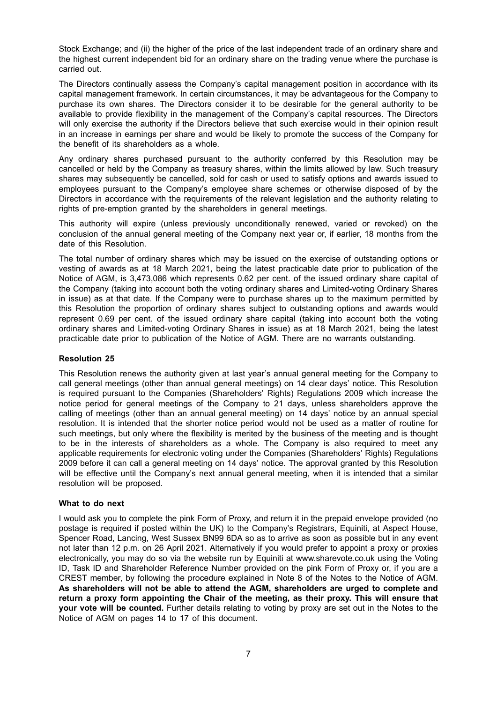Stock Exchange; and (ii) the higher of the price of the last independent trade of an ordinary share and the highest current independent bid for an ordinary share on the trading venue where the purchase is carried out.

The Directors continually assess the Company's capital management position in accordance with its capital management framework. In certain circumstances, it may be advantageous for the Company to purchase its own shares. The Directors consider it to be desirable for the general authority to be available to provide flexibility in the management of the Company's capital resources. The Directors will only exercise the authority if the Directors believe that such exercise would in their opinion result in an increase in earnings per share and would be likely to promote the success of the Company for the benefit of its shareholders as a whole.

Any ordinary shares purchased pursuant to the authority conferred by this Resolution may be cancelled or held by the Company as treasury shares, within the limits allowed by law. Such treasury shares may subsequently be cancelled, sold for cash or used to satisfy options and awards issued to employees pursuant to the Company's employee share schemes or otherwise disposed of by the Directors in accordance with the requirements of the relevant legislation and the authority relating to rights of pre-emption granted by the shareholders in general meetings.

This authority will expire (unless previously unconditionally renewed, varied or revoked) on the conclusion of the annual general meeting of the Company next year or, if earlier, 18 months from the date of this Resolution.

The total number of ordinary shares which may be issued on the exercise of outstanding options or vesting of awards as at 18 March 2021, being the latest practicable date prior to publication of the Notice of AGM, is 3,473,086 which represents 0.62 per cent. of the issued ordinary share capital of the Company (taking into account both the voting ordinary shares and Limited-voting Ordinary Shares in issue) as at that date. If the Company were to purchase shares up to the maximum permitted by this Resolution the proportion of ordinary shares subject to outstanding options and awards would represent 0.69 per cent. of the issued ordinary share capital (taking into account both the voting ordinary shares and Limited-voting Ordinary Shares in issue) as at 18 March 2021, being the latest practicable date prior to publication of the Notice of AGM. There are no warrants outstanding.

# **Resolution 25**

This Resolution renews the authority given at last year's annual general meeting for the Company to call general meetings (other than annual general meetings) on 14 clear days' notice. This Resolution is required pursuant to the Companies (Shareholders' Rights) Regulations 2009 which increase the notice period for general meetings of the Company to 21 days, unless shareholders approve the calling of meetings (other than an annual general meeting) on 14 days' notice by an annual special resolution. It is intended that the shorter notice period would not be used as a matter of routine for such meetings, but only where the flexibility is merited by the business of the meeting and is thought to be in the interests of shareholders as a whole. The Company is also required to meet any applicable requirements for electronic voting under the Companies (Shareholders' Rights) Regulations 2009 before it can call a general meeting on 14 days' notice. The approval granted by this Resolution will be effective until the Company's next annual general meeting, when it is intended that a similar resolution will be proposed.

### **What to do next**

I would ask you to complete the pink Form of Proxy, and return it in the prepaid envelope provided (no postage is required if posted within the UK) to the Company's Registrars, Equiniti, at Aspect House, Spencer Road, Lancing, West Sussex BN99 6DA so as to arrive as soon as possible but in any event not later than 12 p.m. on 26 April 2021. Alternatively if you would prefer to appoint a proxy or proxies electronically, you may do so via the website run by Equiniti at www.sharevote.co.uk using the Voting ID, Task ID and Shareholder Reference Number provided on the pink Form of Proxy or, if you are a CREST member, by following the procedure explained in Note 8 of the Notes to the Notice of AGM. **As shareholders will not be able to attend the AGM, shareholders are urged to complete and return a proxy form appointing the Chair of the meeting, as their proxy. This will ensure that your vote will be counted.** Further details relating to voting by proxy are set out in the Notes to the Notice of AGM on pages 14 to 17 of this document.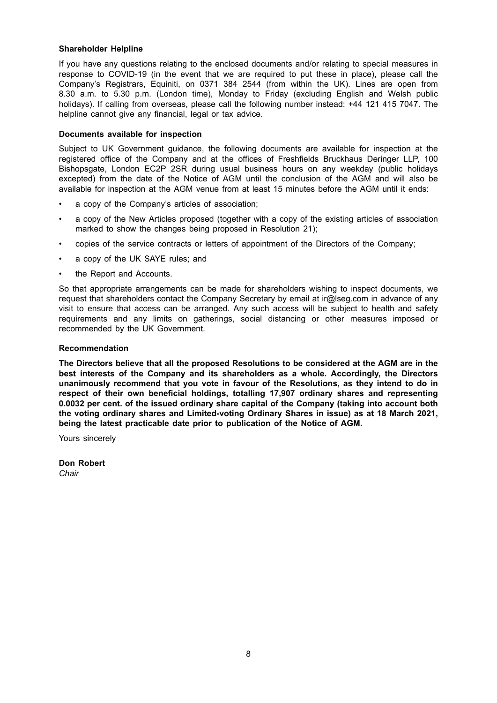## **Shareholder Helpline**

If you have any questions relating to the enclosed documents and/or relating to special measures in response to COVID-19 (in the event that we are required to put these in place), please call the Company's Registrars, Equiniti, on 0371 384 2544 (from within the UK). Lines are open from 8.30 a.m. to 5.30 p.m. (London time), Monday to Friday (excluding English and Welsh public holidays). If calling from overseas, please call the following number instead: +44 121 415 7047. The helpline cannot give any financial, legal or tax advice.

## **Documents available for inspection**

Subject to UK Government guidance, the following documents are available for inspection at the registered office of the Company and at the offices of Freshfields Bruckhaus Deringer LLP, 100 Bishopsgate, London EC2P 2SR during usual business hours on any weekday (public holidays excepted) from the date of the Notice of AGM until the conclusion of the AGM and will also be available for inspection at the AGM venue from at least 15 minutes before the AGM until it ends:

- a copy of the Company's articles of association;
- a copy of the New Articles proposed (together with a copy of the existing articles of association marked to show the changes being proposed in Resolution 21);
- copies of the service contracts or letters of appointment of the Directors of the Company;
- a copy of the UK SAYE rules; and
- the Report and Accounts.

So that appropriate arrangements can be made for shareholders wishing to inspect documents, we request that shareholders contact the Company Secretary by email at ir@lseg.com in advance of any visit to ensure that access can be arranged. Any such access will be subject to health and safety requirements and any limits on gatherings, social distancing or other measures imposed or recommended by the UK Government.

## **Recommendation**

**The Directors believe that all the proposed Resolutions to be considered at the AGM are in the best interests of the Company and its shareholders as a whole. Accordingly, the Directors unanimously recommend that you vote in favour of the Resolutions, as they intend to do in respect of their own beneficial holdings, totalling 17,907 ordinary shares and representing 0.0032 per cent. of the issued ordinary share capital of the Company (taking into account both the voting ordinary shares and Limited-voting Ordinary Shares in issue) as at 18 March 2021, being the latest practicable date prior to publication of the Notice of AGM.**

Yours sincerely

**Don Robert** *Chair*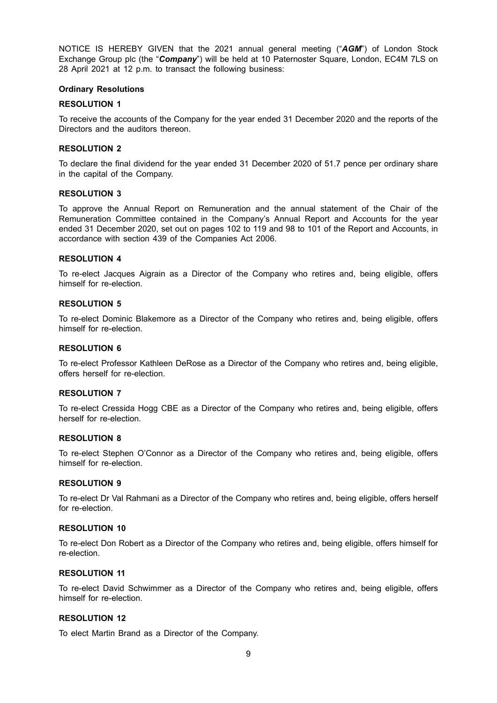NOTICE IS HEREBY GIVEN that the 2021 annual general meeting ("*AGM*") of London Stock Exchange Group plc (the "*Company*") will be held at 10 Paternoster Square, London, EC4M 7LS on 28 April 2021 at 12 p.m. to transact the following business:

#### **Ordinary Resolutions**

#### **RESOLUTION 1**

To receive the accounts of the Company for the year ended 31 December 2020 and the reports of the Directors and the auditors thereon.

#### **RESOLUTION 2**

To declare the final dividend for the year ended 31 December 2020 of 51.7 pence per ordinary share in the capital of the Company.

#### **RESOLUTION 3**

To approve the Annual Report on Remuneration and the annual statement of the Chair of the Remuneration Committee contained in the Company's Annual Report and Accounts for the year ended 31 December 2020, set out on pages 102 to 119 and 98 to 101 of the Report and Accounts, in accordance with section 439 of the Companies Act 2006.

#### **RESOLUTION 4**

To re-elect Jacques Aigrain as a Director of the Company who retires and, being eligible, offers himself for re-election.

## **RESOLUTION 5**

To re-elect Dominic Blakemore as a Director of the Company who retires and, being eligible, offers himself for re-election.

## **RESOLUTION 6**

To re-elect Professor Kathleen DeRose as a Director of the Company who retires and, being eligible, offers herself for re-election.

### **RESOLUTION 7**

To re-elect Cressida Hogg CBE as a Director of the Company who retires and, being eligible, offers herself for re-election.

#### **RESOLUTION 8**

To re-elect Stephen O'Connor as a Director of the Company who retires and, being eligible, offers himself for re-election.

#### **RESOLUTION 9**

To re-elect Dr Val Rahmani as a Director of the Company who retires and, being eligible, offers herself for re-election.

#### **RESOLUTION 10**

To re-elect Don Robert as a Director of the Company who retires and, being eligible, offers himself for re-election.

### **RESOLUTION 11**

To re-elect David Schwimmer as a Director of the Company who retires and, being eligible, offers himself for re-election.

# **RESOLUTION 12**

To elect Martin Brand as a Director of the Company.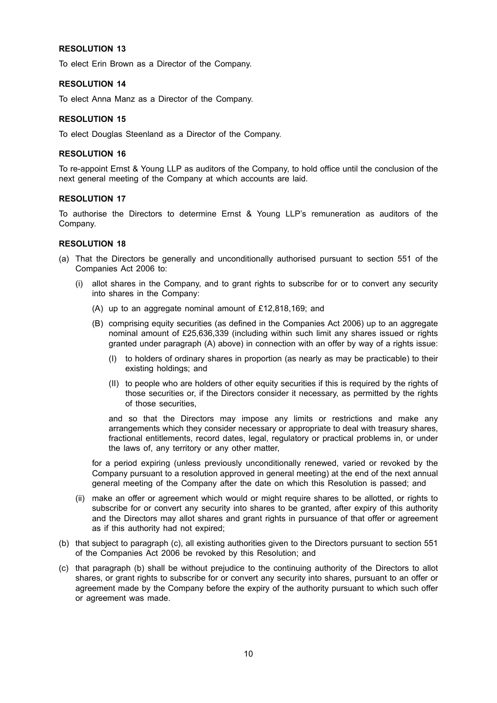# **RESOLUTION 13**

To elect Erin Brown as a Director of the Company.

## **RESOLUTION 14**

To elect Anna Manz as a Director of the Company.

## **RESOLUTION 15**

To elect Douglas Steenland as a Director of the Company.

## **RESOLUTION 16**

To re-appoint Ernst & Young LLP as auditors of the Company, to hold office until the conclusion of the next general meeting of the Company at which accounts are laid.

## **RESOLUTION 17**

To authorise the Directors to determine Ernst & Young LLP's remuneration as auditors of the Company.

## **RESOLUTION 18**

- (a) That the Directors be generally and unconditionally authorised pursuant to section 551 of the Companies Act 2006 to:
	- (i) allot shares in the Company, and to grant rights to subscribe for or to convert any security into shares in the Company:
		- (A) up to an aggregate nominal amount of £12,818,169; and
		- (B) comprising equity securities (as defined in the Companies Act 2006) up to an aggregate nominal amount of £25,636,339 (including within such limit any shares issued or rights granted under paragraph (A) above) in connection with an offer by way of a rights issue:
			- (I) to holders of ordinary shares in proportion (as nearly as may be practicable) to their existing holdings; and
			- (II) to people who are holders of other equity securities if this is required by the rights of those securities or, if the Directors consider it necessary, as permitted by the rights of those securities,

and so that the Directors may impose any limits or restrictions and make any arrangements which they consider necessary or appropriate to deal with treasury shares, fractional entitlements, record dates, legal, regulatory or practical problems in, or under the laws of, any territory or any other matter,

for a period expiring (unless previously unconditionally renewed, varied or revoked by the Company pursuant to a resolution approved in general meeting) at the end of the next annual general meeting of the Company after the date on which this Resolution is passed; and

- (ii) make an offer or agreement which would or might require shares to be allotted, or rights to subscribe for or convert any security into shares to be granted, after expiry of this authority and the Directors may allot shares and grant rights in pursuance of that offer or agreement as if this authority had not expired;
- (b) that subject to paragraph (c), all existing authorities given to the Directors pursuant to section 551 of the Companies Act 2006 be revoked by this Resolution; and
- (c) that paragraph (b) shall be without prejudice to the continuing authority of the Directors to allot shares, or grant rights to subscribe for or convert any security into shares, pursuant to an offer or agreement made by the Company before the expiry of the authority pursuant to which such offer or agreement was made.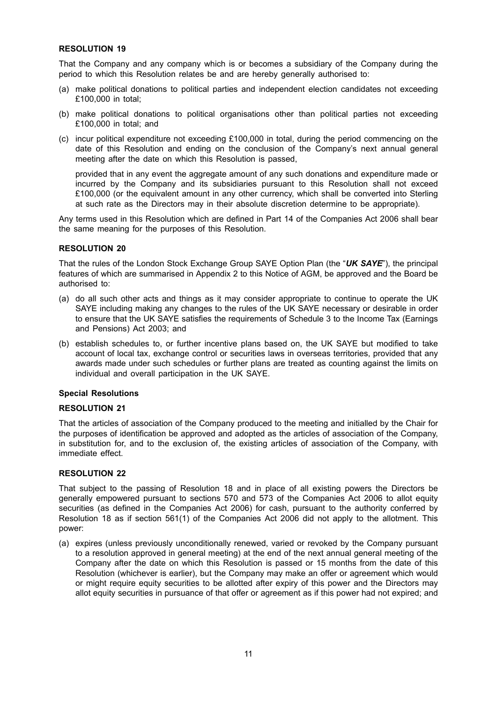# **RESOLUTION 19**

That the Company and any company which is or becomes a subsidiary of the Company during the period to which this Resolution relates be and are hereby generally authorised to:

- (a) make political donations to political parties and independent election candidates not exceeding £100,000 in total;
- (b) make political donations to political organisations other than political parties not exceeding £100,000 in total; and
- (c) incur political expenditure not exceeding £100,000 in total, during the period commencing on the date of this Resolution and ending on the conclusion of the Company's next annual general meeting after the date on which this Resolution is passed,

provided that in any event the aggregate amount of any such donations and expenditure made or incurred by the Company and its subsidiaries pursuant to this Resolution shall not exceed £100,000 (or the equivalent amount in any other currency, which shall be converted into Sterling at such rate as the Directors may in their absolute discretion determine to be appropriate).

Any terms used in this Resolution which are defined in Part 14 of the Companies Act 2006 shall bear the same meaning for the purposes of this Resolution.

# **RESOLUTION 20**

That the rules of the London Stock Exchange Group SAYE Option Plan (the "*UK SAYE*"), the principal features of which are summarised in Appendix 2 to this Notice of AGM, be approved and the Board be authorised to:

- (a) do all such other acts and things as it may consider appropriate to continue to operate the UK SAYE including making any changes to the rules of the UK SAYE necessary or desirable in order to ensure that the UK SAYE satisfies the requirements of Schedule 3 to the Income Tax (Earnings and Pensions) Act 2003; and
- (b) establish schedules to, or further incentive plans based on, the UK SAYE but modified to take account of local tax, exchange control or securities laws in overseas territories, provided that any awards made under such schedules or further plans are treated as counting against the limits on individual and overall participation in the UK SAYE.

### **Special Resolutions**

# **RESOLUTION 21**

That the articles of association of the Company produced to the meeting and initialled by the Chair for the purposes of identification be approved and adopted as the articles of association of the Company, in substitution for, and to the exclusion of, the existing articles of association of the Company, with immediate effect.

# **RESOLUTION 22**

That subject to the passing of Resolution 18 and in place of all existing powers the Directors be generally empowered pursuant to sections 570 and 573 of the Companies Act 2006 to allot equity securities (as defined in the Companies Act 2006) for cash, pursuant to the authority conferred by Resolution 18 as if section 561(1) of the Companies Act 2006 did not apply to the allotment. This power:

(a) expires (unless previously unconditionally renewed, varied or revoked by the Company pursuant to a resolution approved in general meeting) at the end of the next annual general meeting of the Company after the date on which this Resolution is passed or 15 months from the date of this Resolution (whichever is earlier), but the Company may make an offer or agreement which would or might require equity securities to be allotted after expiry of this power and the Directors may allot equity securities in pursuance of that offer or agreement as if this power had not expired; and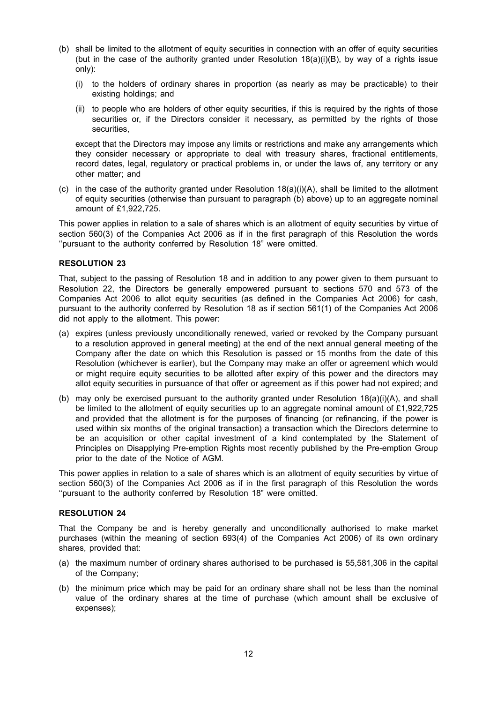- (b) shall be limited to the allotment of equity securities in connection with an offer of equity securities (but in the case of the authority granted under Resolution 18(a)(i)(B), by way of a rights issue only):
	- (i) to the holders of ordinary shares in proportion (as nearly as may be practicable) to their existing holdings; and
	- (ii) to people who are holders of other equity securities, if this is required by the rights of those securities or, if the Directors consider it necessary, as permitted by the rights of those securities,

except that the Directors may impose any limits or restrictions and make any arrangements which they consider necessary or appropriate to deal with treasury shares, fractional entitlements, record dates, legal, regulatory or practical problems in, or under the laws of, any territory or any other matter; and

(c) in the case of the authority granted under Resolution  $18(a)(i)(A)$ , shall be limited to the allotment of equity securities (otherwise than pursuant to paragraph (b) above) up to an aggregate nominal amount of £1,922,725.

This power applies in relation to a sale of shares which is an allotment of equity securities by virtue of section 560(3) of the Companies Act 2006 as if in the first paragraph of this Resolution the words ''pursuant to the authority conferred by Resolution 18" were omitted.

# **RESOLUTION 23**

That, subject to the passing of Resolution 18 and in addition to any power given to them pursuant to Resolution 22, the Directors be generally empowered pursuant to sections 570 and 573 of the Companies Act 2006 to allot equity securities (as defined in the Companies Act 2006) for cash, pursuant to the authority conferred by Resolution 18 as if section 561(1) of the Companies Act 2006 did not apply to the allotment. This power:

- (a) expires (unless previously unconditionally renewed, varied or revoked by the Company pursuant to a resolution approved in general meeting) at the end of the next annual general meeting of the Company after the date on which this Resolution is passed or 15 months from the date of this Resolution (whichever is earlier), but the Company may make an offer or agreement which would or might require equity securities to be allotted after expiry of this power and the directors may allot equity securities in pursuance of that offer or agreement as if this power had not expired; and
- (b) may only be exercised pursuant to the authority granted under Resolution 18(a)(i)(A), and shall be limited to the allotment of equity securities up to an aggregate nominal amount of £1,922,725 and provided that the allotment is for the purposes of financing (or refinancing, if the power is used within six months of the original transaction) a transaction which the Directors determine to be an acquisition or other capital investment of a kind contemplated by the Statement of Principles on Disapplying Pre-emption Rights most recently published by the Pre-emption Group prior to the date of the Notice of AGM.

This power applies in relation to a sale of shares which is an allotment of equity securities by virtue of section 560(3) of the Companies Act 2006 as if in the first paragraph of this Resolution the words ''pursuant to the authority conferred by Resolution 18" were omitted.

# **RESOLUTION 24**

That the Company be and is hereby generally and unconditionally authorised to make market purchases (within the meaning of section 693(4) of the Companies Act 2006) of its own ordinary shares, provided that:

- (a) the maximum number of ordinary shares authorised to be purchased is 55,581,306 in the capital of the Company;
- (b) the minimum price which may be paid for an ordinary share shall not be less than the nominal value of the ordinary shares at the time of purchase (which amount shall be exclusive of expenses);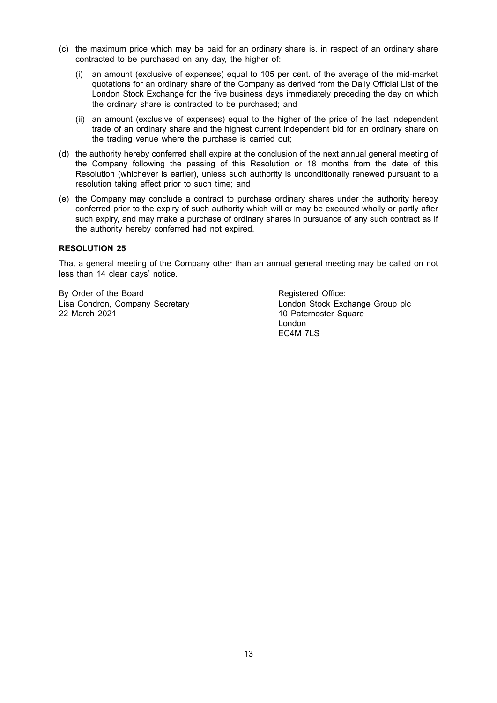- (c) the maximum price which may be paid for an ordinary share is, in respect of an ordinary share contracted to be purchased on any day, the higher of:
	- (i) an amount (exclusive of expenses) equal to 105 per cent. of the average of the mid-market quotations for an ordinary share of the Company as derived from the Daily Official List of the London Stock Exchange for the five business days immediately preceding the day on which the ordinary share is contracted to be purchased; and
	- (ii) an amount (exclusive of expenses) equal to the higher of the price of the last independent trade of an ordinary share and the highest current independent bid for an ordinary share on the trading venue where the purchase is carried out;
- (d) the authority hereby conferred shall expire at the conclusion of the next annual general meeting of the Company following the passing of this Resolution or 18 months from the date of this Resolution (whichever is earlier), unless such authority is unconditionally renewed pursuant to a resolution taking effect prior to such time; and
- (e) the Company may conclude a contract to purchase ordinary shares under the authority hereby conferred prior to the expiry of such authority which will or may be executed wholly or partly after such expiry, and may make a purchase of ordinary shares in pursuance of any such contract as if the authority hereby conferred had not expired.

# **RESOLUTION 25**

That a general meeting of the Company other than an annual general meeting may be called on not less than 14 clear days' notice.

By Order of the Board Lisa Condron, Company Secretary 22 March 2021

Registered Office: London Stock Exchange Group plc 10 Paternoster Square London EC4M 7LS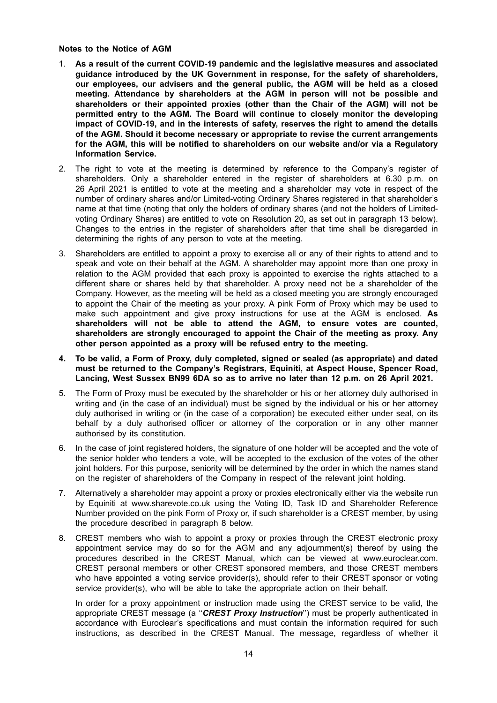**Notes to the Notice of AGM**

- 1. **As a result of the current COVID-19 pandemic and the legislative measures and associated guidance introduced by the UK Government in response, for the safety of shareholders, our employees, our advisers and the general public, the AGM will be held as a closed meeting. Attendance by shareholders at the AGM in person will not be possible and shareholders or their appointed proxies (other than the Chair of the AGM) will not be permitted entry to the AGM. The Board will continue to closely monitor the developing impact of COVID-19, and in the interests of safety, reserves the right to amend the details of the AGM. Should it become necessary or appropriate to revise the current arrangements for the AGM, this will be notified to shareholders on our website and/or via a Regulatory Information Service.**
- 2. The right to vote at the meeting is determined by reference to the Company's register of shareholders. Only a shareholder entered in the register of shareholders at 6.30 p.m. on 26 April 2021 is entitled to vote at the meeting and a shareholder may vote in respect of the number of ordinary shares and/or Limited-voting Ordinary Shares registered in that shareholder's name at that time (noting that only the holders of ordinary shares (and not the holders of Limitedvoting Ordinary Shares) are entitled to vote on Resolution 20, as set out in paragraph 13 below). Changes to the entries in the register of shareholders after that time shall be disregarded in determining the rights of any person to vote at the meeting.
- 3. Shareholders are entitled to appoint a proxy to exercise all or any of their rights to attend and to speak and vote on their behalf at the AGM. A shareholder may appoint more than one proxy in relation to the AGM provided that each proxy is appointed to exercise the rights attached to a different share or shares held by that shareholder. A proxy need not be a shareholder of the Company. However, as the meeting will be held as a closed meeting you are strongly encouraged to appoint the Chair of the meeting as your proxy. A pink Form of Proxy which may be used to make such appointment and give proxy instructions for use at the AGM is enclosed. **As shareholders will not be able to attend the AGM, to ensure votes are counted, shareholders are strongly encouraged to appoint the Chair of the meeting as proxy. Any other person appointed as a proxy will be refused entry to the meeting.**
- **4. To be valid, a Form of Proxy, duly completed, signed or sealed (as appropriate) and dated must be returned to the Company's Registrars, Equiniti, at Aspect House, Spencer Road, Lancing, West Sussex BN99 6DA so as to arrive no later than 12 p.m. on 26 April 2021.**
- 5. The Form of Proxy must be executed by the shareholder or his or her attorney duly authorised in writing and (in the case of an individual) must be signed by the individual or his or her attorney duly authorised in writing or (in the case of a corporation) be executed either under seal, on its behalf by a duly authorised officer or attorney of the corporation or in any other manner authorised by its constitution.
- 6. In the case of joint registered holders, the signature of one holder will be accepted and the vote of the senior holder who tenders a vote, will be accepted to the exclusion of the votes of the other joint holders. For this purpose, seniority will be determined by the order in which the names stand on the register of shareholders of the Company in respect of the relevant joint holding.
- 7. Alternatively a shareholder may appoint a proxy or proxies electronically either via the website run by Equiniti at www.sharevote.co.uk using the Voting ID, Task ID and Shareholder Reference Number provided on the pink Form of Proxy or, if such shareholder is a CREST member, by using the procedure described in paragraph 8 below.
- 8. CREST members who wish to appoint a proxy or proxies through the CREST electronic proxy appointment service may do so for the AGM and any adjournment(s) thereof by using the procedures described in the CREST Manual, which can be viewed at www.euroclear.com. CREST personal members or other CREST sponsored members, and those CREST members who have appointed a voting service provider(s), should refer to their CREST sponsor or voting service provider(s), who will be able to take the appropriate action on their behalf.

In order for a proxy appointment or instruction made using the CREST service to be valid, the appropriate CREST message (a ''*CREST Proxy Instruction*'') must be properly authenticated in accordance with Euroclear's specifications and must contain the information required for such instructions, as described in the CREST Manual. The message, regardless of whether it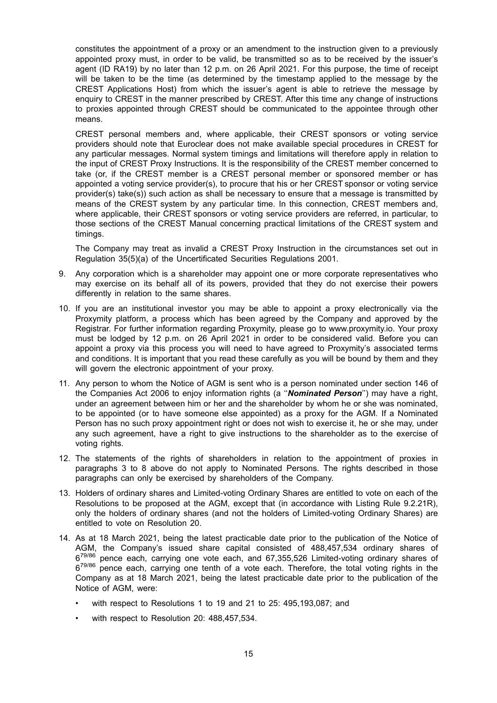constitutes the appointment of a proxy or an amendment to the instruction given to a previously appointed proxy must, in order to be valid, be transmitted so as to be received by the issuer's agent (ID RA19) by no later than 12 p.m. on 26 April 2021. For this purpose, the time of receipt will be taken to be the time (as determined by the timestamp applied to the message by the CREST Applications Host) from which the issuer's agent is able to retrieve the message by enquiry to CREST in the manner prescribed by CREST. After this time any change of instructions to proxies appointed through CREST should be communicated to the appointee through other means.

CREST personal members and, where applicable, their CREST sponsors or voting service providers should note that Euroclear does not make available special procedures in CREST for any particular messages. Normal system timings and limitations will therefore apply in relation to the input of CREST Proxy Instructions. It is the responsibility of the CREST member concerned to take (or, if the CREST member is a CREST personal member or sponsored member or has appointed a voting service provider(s), to procure that his or her CREST sponsor or voting service provider(s) take(s)) such action as shall be necessary to ensure that a message is transmitted by means of the CREST system by any particular time. In this connection, CREST members and, where applicable, their CREST sponsors or voting service providers are referred, in particular, to those sections of the CREST Manual concerning practical limitations of the CREST system and timings.

The Company may treat as invalid a CREST Proxy Instruction in the circumstances set out in Regulation 35(5)(a) of the Uncertificated Securities Regulations 2001.

- 9. Any corporation which is a shareholder may appoint one or more corporate representatives who may exercise on its behalf all of its powers, provided that they do not exercise their powers differently in relation to the same shares.
- 10. If you are an institutional investor you may be able to appoint a proxy electronically via the Proxymity platform, a process which has been agreed by the Company and approved by the Registrar. For further information regarding Proxymity, please go to www.proxymity.io. Your proxy must be lodged by 12 p.m. on 26 April 2021 in order to be considered valid. Before you can appoint a proxy via this process you will need to have agreed to Proxymity's associated terms and conditions. It is important that you read these carefully as you will be bound by them and they will govern the electronic appointment of your proxy.
- 11. Any person to whom the Notice of AGM is sent who is a person nominated under section 146 of the Companies Act 2006 to enjoy information rights (a ''*Nominated Person*'') may have a right, under an agreement between him or her and the shareholder by whom he or she was nominated, to be appointed (or to have someone else appointed) as a proxy for the AGM. If a Nominated Person has no such proxy appointment right or does not wish to exercise it, he or she may, under any such agreement, have a right to give instructions to the shareholder as to the exercise of voting rights.
- 12. The statements of the rights of shareholders in relation to the appointment of proxies in paragraphs 3 to 8 above do not apply to Nominated Persons. The rights described in those paragraphs can only be exercised by shareholders of the Company.
- 13. Holders of ordinary shares and Limited-voting Ordinary Shares are entitled to vote on each of the Resolutions to be proposed at the AGM, except that (in accordance with Listing Rule 9.2.21R), only the holders of ordinary shares (and not the holders of Limited-voting Ordinary Shares) are entitled to vote on Resolution 20.
- 14. As at 18 March 2021, being the latest practicable date prior to the publication of the Notice of AGM, the Company's issued share capital consisted of 488,457,534 ordinary shares of 6<sup>79/86</sup> pence each, carrying one vote each, and 67,355,526 Limited-voting ordinary shares of 679/86 pence each, carrying one tenth of a vote each. Therefore, the total voting rights in the Company as at 18 March 2021, being the latest practicable date prior to the publication of the Notice of AGM, were:
	- with respect to Resolutions 1 to 19 and 21 to 25: 495,193,087; and
	- with respect to Resolution 20: 488,457,534.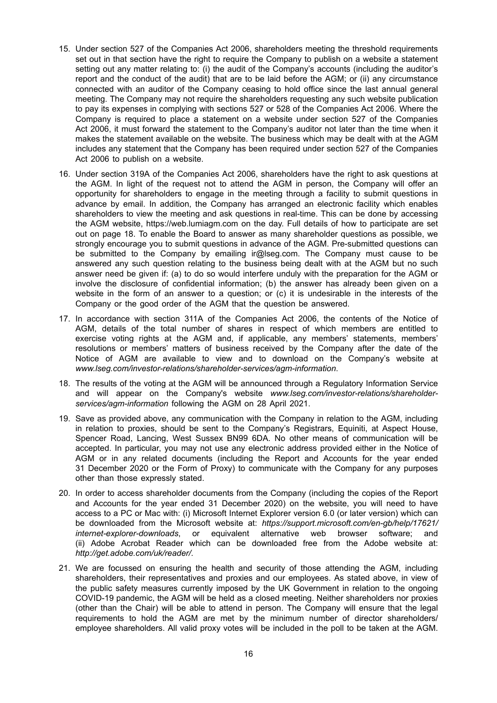- 15. Under section 527 of the Companies Act 2006, shareholders meeting the threshold requirements set out in that section have the right to require the Company to publish on a website a statement setting out any matter relating to: (i) the audit of the Company's accounts (including the auditor's report and the conduct of the audit) that are to be laid before the AGM; or (ii) any circumstance connected with an auditor of the Company ceasing to hold office since the last annual general meeting. The Company may not require the shareholders requesting any such website publication to pay its expenses in complying with sections 527 or 528 of the Companies Act 2006. Where the Company is required to place a statement on a website under section 527 of the Companies Act 2006, it must forward the statement to the Company's auditor not later than the time when it makes the statement available on the website. The business which may be dealt with at the AGM includes any statement that the Company has been required under section 527 of the Companies Act 2006 to publish on a website.
- 16. Under section 319A of the Companies Act 2006, shareholders have the right to ask questions at the AGM. In light of the request not to attend the AGM in person, the Company will offer an opportunity for shareholders to engage in the meeting through a facility to submit questions in advance by email. In addition, the Company has arranged an electronic facility which enables shareholders to view the meeting and ask questions in real-time. This can be done by accessing the AGM website, https://web.lumiagm.com on the day. Full details of how to participate are set out on page 18. To enable the Board to answer as many shareholder questions as possible, we strongly encourage you to submit questions in advance of the AGM. Pre-submitted questions can be submitted to the Company by emailing ir@lseg.com. The Company must cause to be answered any such question relating to the business being dealt with at the AGM but no such answer need be given if: (a) to do so would interfere unduly with the preparation for the AGM or involve the disclosure of confidential information; (b) the answer has already been given on a website in the form of an answer to a question; or (c) it is undesirable in the interests of the Company or the good order of the AGM that the question be answered.
- 17. In accordance with section 311A of the Companies Act 2006, the contents of the Notice of AGM, details of the total number of shares in respect of which members are entitled to exercise voting rights at the AGM and, if applicable, any members' statements, members' resolutions or members' matters of business received by the Company after the date of the Notice of AGM are available to view and to download on the Company's website at *www.lseg.com/investor-relations/shareholder-services/agm-information*.
- 18. The results of the voting at the AGM will be announced through a Regulatory Information Service and will appear on the Company's website *www.lseg.com/investor-relations/shareholderservices/agm-information* following the AGM on 28 April 2021.
- 19. Save as provided above, any communication with the Company in relation to the AGM, including in relation to proxies, should be sent to the Company's Registrars, Equiniti, at Aspect House, Spencer Road, Lancing, West Sussex BN99 6DA. No other means of communication will be accepted. In particular, you may not use any electronic address provided either in the Notice of AGM or in any related documents (including the Report and Accounts for the year ended 31 December 2020 or the Form of Proxy) to communicate with the Company for any purposes other than those expressly stated.
- 20. In order to access shareholder documents from the Company (including the copies of the Report and Accounts for the year ended 31 December 2020) on the website, you will need to have access to a PC or Mac with: (i) Microsoft Internet Explorer version 6.0 (or later version) which can be downloaded from the Microsoft website at: *https://support.microsoft.com/en-gb/help/17621/ internet-explorer-downloads*, or equivalent alternative web browser software; and (ii) Adobe Acrobat Reader which can be downloaded free from the Adobe website at: *http://get.adobe.com/uk/reader/*.
- 21. We are focussed on ensuring the health and security of those attending the AGM, including shareholders, their representatives and proxies and our employees. As stated above, in view of the public safety measures currently imposed by the UK Government in relation to the ongoing COVID-19 pandemic, the AGM will be held as a closed meeting. Neither shareholders nor proxies (other than the Chair) will be able to attend in person. The Company will ensure that the legal requirements to hold the AGM are met by the minimum number of director shareholders/ employee shareholders. All valid proxy votes will be included in the poll to be taken at the AGM.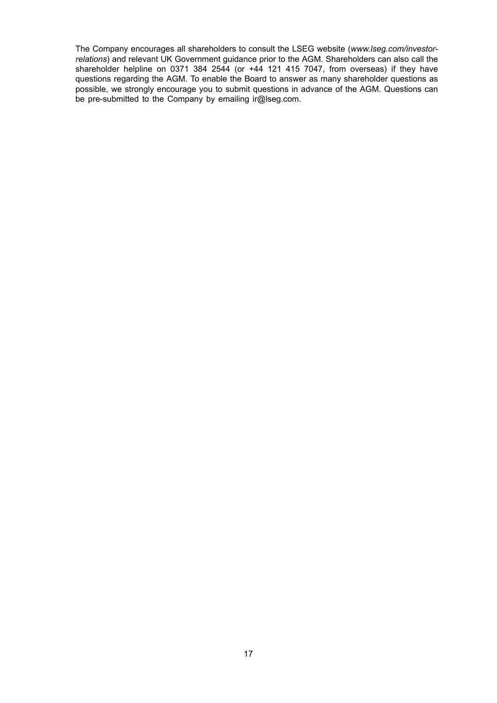The Company encourages all shareholders to consult the LSEG website (*www.lseg.com/investorrelations*) and relevant UK Government guidance prior to the AGM. Shareholders can also call the shareholder helpline on 0371 384 2544 (or  $+44$  121 415 7047, from overseas) if they have questions regarding the AGM. To enable the Board to answer as many shareholder questions as possible, we strongly encourage you to submit questions in advance of the AGM. Questions can be pre-submitted to the Company by emailing ir@lseg.com.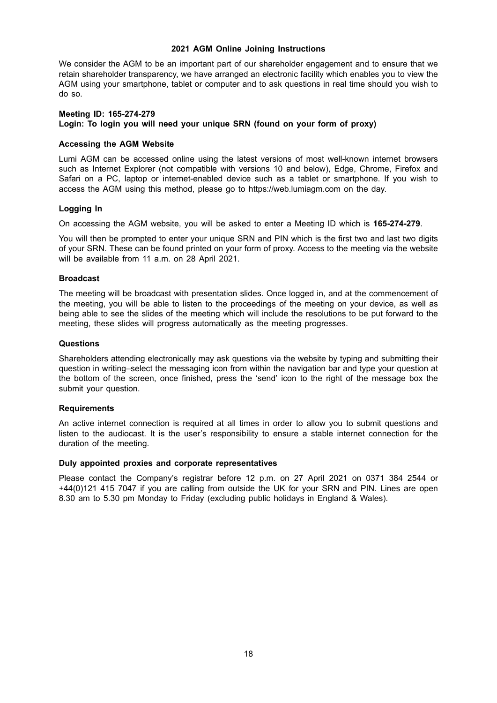# **2021 AGM Online Joining Instructions**

We consider the AGM to be an important part of our shareholder engagement and to ensure that we retain shareholder transparency, we have arranged an electronic facility which enables you to view the AGM using your smartphone, tablet or computer and to ask questions in real time should you wish to do so.

#### **Meeting ID: 165-274-279 Login: To login you will need your unique SRN (found on your form of proxy)**

## **Accessing the AGM Website**

Lumi AGM can be accessed online using the latest versions of most well-known internet browsers such as Internet Explorer (not compatible with versions 10 and below), Edge, Chrome, Firefox and Safari on a PC, laptop or internet-enabled device such as a tablet or smartphone. If you wish to access the AGM using this method, please go to https://web.lumiagm.com on the day.

## **Logging In**

On accessing the AGM website, you will be asked to enter a Meeting ID which is **165-274-279**.

You will then be prompted to enter your unique SRN and PIN which is the first two and last two digits of your SRN. These can be found printed on your form of proxy. Access to the meeting via the website will be available from 11 a.m. on 28 April 2021.

## **Broadcast**

The meeting will be broadcast with presentation slides. Once logged in, and at the commencement of the meeting, you will be able to listen to the proceedings of the meeting on your device, as well as being able to see the slides of the meeting which will include the resolutions to be put forward to the meeting, these slides will progress automatically as the meeting progresses.

## **Questions**

Shareholders attending electronically may ask questions via the website by typing and submitting their question in writing–select the messaging icon from within the navigation bar and type your question at the bottom of the screen, once finished, press the 'send' icon to the right of the message box the submit your question.

### **Requirements**

An active internet connection is required at all times in order to allow you to submit questions and listen to the audiocast. It is the user's responsibility to ensure a stable internet connection for the duration of the meeting.

### **Duly appointed proxies and corporate representatives**

Please contact the Company's registrar before 12 p.m. on 27 April 2021 on 0371 384 2544 or +44(0)121 415 7047 if you are calling from outside the UK for your SRN and PIN. Lines are open 8.30 am to 5.30 pm Monday to Friday (excluding public holidays in England & Wales).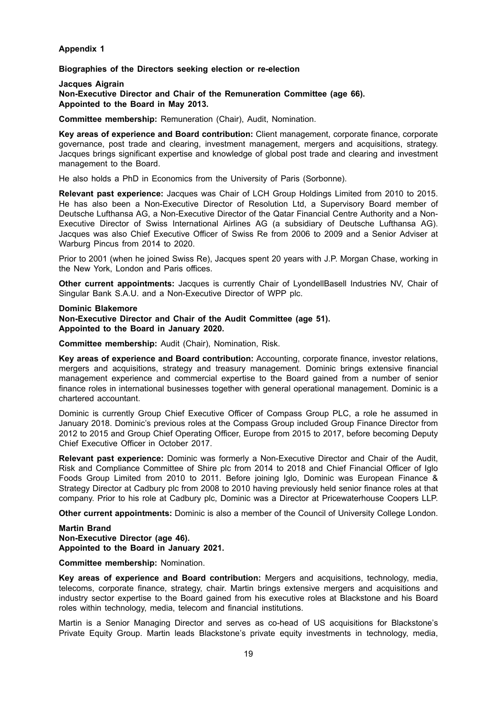# **Appendix 1**

### **Biographies of the Directors seeking election or re-election**

#### **Jacques Aigrain Non-Executive Director and Chair of the Remuneration Committee (age 66). Appointed to the Board in May 2013.**

**Committee membership:** Remuneration (Chair), Audit, Nomination.

**Key areas of experience and Board contribution:** Client management, corporate finance, corporate governance, post trade and clearing, investment management, mergers and acquisitions, strategy. Jacques brings significant expertise and knowledge of global post trade and clearing and investment management to the Board.

He also holds a PhD in Economics from the University of Paris (Sorbonne).

**Relevant past experience:** Jacques was Chair of LCH Group Holdings Limited from 2010 to 2015. He has also been a Non-Executive Director of Resolution Ltd, a Supervisory Board member of Deutsche Lufthansa AG, a Non-Executive Director of the Qatar Financial Centre Authority and a Non-Executive Director of Swiss International Airlines AG (a subsidiary of Deutsche Lufthansa AG). Jacques was also Chief Executive Officer of Swiss Re from 2006 to 2009 and a Senior Adviser at Warburg Pincus from 2014 to 2020.

Prior to 2001 (when he joined Swiss Re), Jacques spent 20 years with J.P. Morgan Chase, working in the New York, London and Paris offices.

**Other current appointments:** Jacques is currently Chair of LyondellBasell Industries NV, Chair of Singular Bank S.A.U. and a Non-Executive Director of WPP plc.

**Dominic Blakemore**

**Non-Executive Director and Chair of the Audit Committee (age 51). Appointed to the Board in January 2020.**

**Committee membership:** Audit (Chair), Nomination, Risk.

**Key areas of experience and Board contribution:** Accounting, corporate finance, investor relations, mergers and acquisitions, strategy and treasury management. Dominic brings extensive financial management experience and commercial expertise to the Board gained from a number of senior finance roles in international businesses together with general operational management. Dominic is a chartered accountant.

Dominic is currently Group Chief Executive Officer of Compass Group PLC, a role he assumed in January 2018. Dominic's previous roles at the Compass Group included Group Finance Director from 2012 to 2015 and Group Chief Operating Officer, Europe from 2015 to 2017, before becoming Deputy Chief Executive Officer in October 2017.

**Relevant past experience:** Dominic was formerly a Non-Executive Director and Chair of the Audit, Risk and Compliance Committee of Shire plc from 2014 to 2018 and Chief Financial Officer of Iglo Foods Group Limited from 2010 to 2011. Before joining Iglo, Dominic was European Finance & Strategy Director at Cadbury plc from 2008 to 2010 having previously held senior finance roles at that company. Prior to his role at Cadbury plc, Dominic was a Director at Pricewaterhouse Coopers LLP.

**Other current appointments:** Dominic is also a member of the Council of University College London.

# **Martin Brand**

**Non-Executive Director (age 46). Appointed to the Board in January 2021.**

**Committee membership:** Nomination.

**Key areas of experience and Board contribution:** Mergers and acquisitions, technology, media, telecoms, corporate finance, strategy, chair. Martin brings extensive mergers and acquisitions and industry sector expertise to the Board gained from his executive roles at Blackstone and his Board roles within technology, media, telecom and financial institutions.

Martin is a Senior Managing Director and serves as co-head of US acquisitions for Blackstone's Private Equity Group. Martin leads Blackstone's private equity investments in technology, media,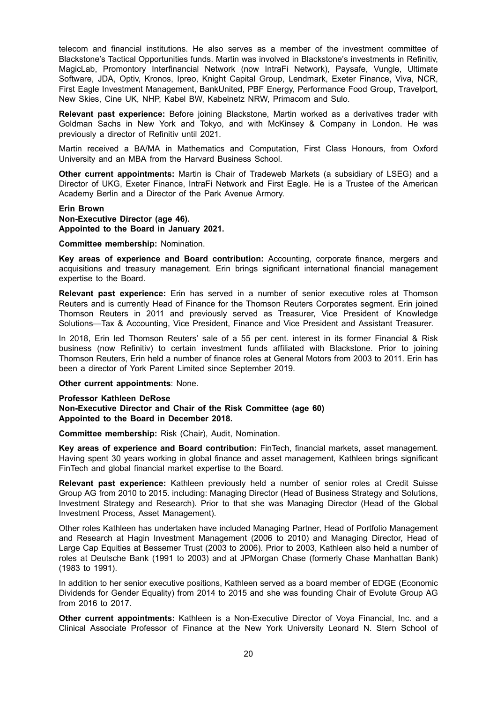telecom and financial institutions. He also serves as a member of the investment committee of Blackstone's Tactical Opportunities funds. Martin was involved in Blackstone's investments in Refinitiv, MagicLab, Promontory Interfinancial Network (now IntraFi Network), Paysafe, Vungle, Ultimate Software, JDA, Optiv, Kronos, Ipreo, Knight Capital Group, Lendmark, Exeter Finance, Viva, NCR, First Eagle Investment Management, BankUnited, PBF Energy, Performance Food Group, Travelport, New Skies, Cine UK, NHP, Kabel BW, Kabelnetz NRW, Primacom and Sulo.

**Relevant past experience:** Before joining Blackstone, Martin worked as a derivatives trader with Goldman Sachs in New York and Tokyo, and with McKinsey & Company in London. He was previously a director of Refinitiv until 2021.

Martin received a BA/MA in Mathematics and Computation, First Class Honours, from Oxford University and an MBA from the Harvard Business School.

**Other current appointments:** Martin is Chair of Tradeweb Markets (a subsidiary of LSEG) and a Director of UKG, Exeter Finance, IntraFi Network and First Eagle. He is a Trustee of the American Academy Berlin and a Director of the Park Avenue Armory.

# **Erin Brown Non-Executive Director (age 46). Appointed to the Board in January 2021.**

**Committee membership:** Nomination.

**Key areas of experience and Board contribution:** Accounting, corporate finance, mergers and acquisitions and treasury management. Erin brings significant international financial management expertise to the Board.

**Relevant past experience:** Erin has served in a number of senior executive roles at Thomson Reuters and is currently Head of Finance for the Thomson Reuters Corporates segment. Erin joined Thomson Reuters in 2011 and previously served as Treasurer, Vice President of Knowledge Solutions—Tax & Accounting, Vice President, Finance and Vice President and Assistant Treasurer.

In 2018, Erin led Thomson Reuters' sale of a 55 per cent. interest in its former Financial & Risk business (now Refinitiv) to certain investment funds affiliated with Blackstone. Prior to joining Thomson Reuters, Erin held a number of finance roles at General Motors from 2003 to 2011. Erin has been a director of York Parent Limited since September 2019.

## **Other current appointments**: None.

#### **Professor Kathleen DeRose Non-Executive Director and Chair of the Risk Committee (age 60) Appointed to the Board in December 2018.**

**Committee membership:** Risk (Chair), Audit, Nomination.

**Key areas of experience and Board contribution:** FinTech, financial markets, asset management. Having spent 30 years working in global finance and asset management, Kathleen brings significant FinTech and global financial market expertise to the Board.

**Relevant past experience:** Kathleen previously held a number of senior roles at Credit Suisse Group AG from 2010 to 2015. including: Managing Director (Head of Business Strategy and Solutions, Investment Strategy and Research). Prior to that she was Managing Director (Head of the Global Investment Process, Asset Management).

Other roles Kathleen has undertaken have included Managing Partner, Head of Portfolio Management and Research at Hagin Investment Management (2006 to 2010) and Managing Director, Head of Large Cap Equities at Bessemer Trust (2003 to 2006). Prior to 2003, Kathleen also held a number of roles at Deutsche Bank (1991 to 2003) and at JPMorgan Chase (formerly Chase Manhattan Bank) (1983 to 1991).

In addition to her senior executive positions, Kathleen served as a board member of EDGE (Economic Dividends for Gender Equality) from 2014 to 2015 and she was founding Chair of Evolute Group AG from 2016 to 2017.

**Other current appointments:** Kathleen is a Non-Executive Director of Voya Financial, Inc. and a Clinical Associate Professor of Finance at the New York University Leonard N. Stern School of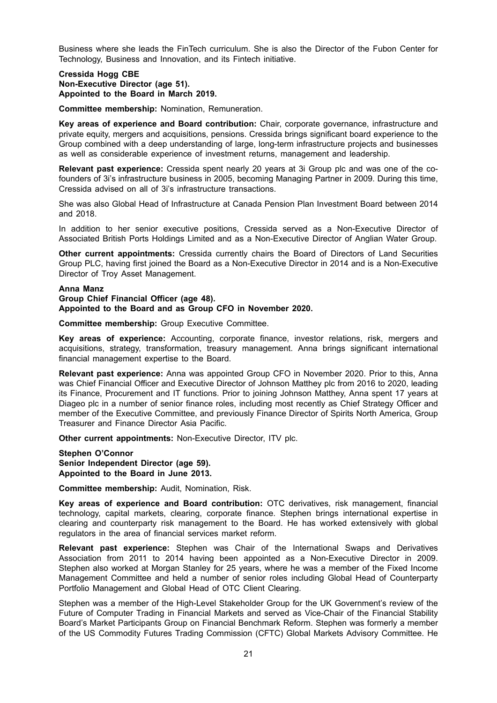Business where she leads the FinTech curriculum. She is also the Director of the Fubon Center for Technology, Business and Innovation, and its Fintech initiative.

#### **Cressida Hogg CBE Non-Executive Director (age 51). Appointed to the Board in March 2019.**

**Committee membership:** Nomination, Remuneration.

**Key areas of experience and Board contribution:** Chair, corporate governance, infrastructure and private equity, mergers and acquisitions, pensions. Cressida brings significant board experience to the Group combined with a deep understanding of large, long-term infrastructure projects and businesses as well as considerable experience of investment returns, management and leadership.

**Relevant past experience:** Cressida spent nearly 20 years at 3i Group plc and was one of the cofounders of 3i's infrastructure business in 2005, becoming Managing Partner in 2009. During this time, Cressida advised on all of 3i's infrastructure transactions.

She was also Global Head of Infrastructure at Canada Pension Plan Investment Board between 2014 and 2018.

In addition to her senior executive positions, Cressida served as a Non-Executive Director of Associated British Ports Holdings Limited and as a Non-Executive Director of Anglian Water Group.

**Other current appointments:** Cressida currently chairs the Board of Directors of Land Securities Group PLC, having first joined the Board as a Non-Executive Director in 2014 and is a Non-Executive Director of Troy Asset Management.

### **Anna Manz**

**Group Chief Financial Officer (age 48). Appointed to the Board and as Group CFO in November 2020.**

**Committee membership:** Group Executive Committee.

**Key areas of experience:** Accounting, corporate finance, investor relations, risk, mergers and acquisitions, strategy, transformation, treasury management. Anna brings significant international financial management expertise to the Board.

**Relevant past experience:** Anna was appointed Group CFO in November 2020. Prior to this, Anna was Chief Financial Officer and Executive Director of Johnson Matthey plc from 2016 to 2020, leading its Finance, Procurement and IT functions. Prior to joining Johnson Matthey, Anna spent 17 years at Diageo plc in a number of senior finance roles, including most recently as Chief Strategy Officer and member of the Executive Committee, and previously Finance Director of Spirits North America, Group Treasurer and Finance Director Asia Pacific.

**Other current appointments:** Non-Executive Director, ITV plc.

**Stephen O'Connor Senior Independent Director (age 59). Appointed to the Board in June 2013.**

**Committee membership:** Audit, Nomination, Risk.

**Key areas of experience and Board contribution:** OTC derivatives, risk management, financial technology, capital markets, clearing, corporate finance. Stephen brings international expertise in clearing and counterparty risk management to the Board. He has worked extensively with global regulators in the area of financial services market reform.

**Relevant past experience:** Stephen was Chair of the International Swaps and Derivatives Association from 2011 to 2014 having been appointed as a Non-Executive Director in 2009. Stephen also worked at Morgan Stanley for 25 years, where he was a member of the Fixed Income Management Committee and held a number of senior roles including Global Head of Counterparty Portfolio Management and Global Head of OTC Client Clearing.

Stephen was a member of the High-Level Stakeholder Group for the UK Government's review of the Future of Computer Trading in Financial Markets and served as Vice-Chair of the Financial Stability Board's Market Participants Group on Financial Benchmark Reform. Stephen was formerly a member of the US Commodity Futures Trading Commission (CFTC) Global Markets Advisory Committee. He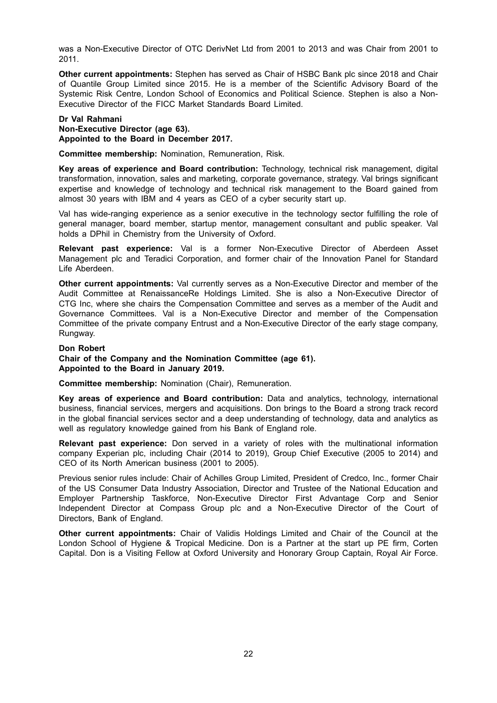was a Non-Executive Director of OTC DerivNet Ltd from 2001 to 2013 and was Chair from 2001 to 2011.

**Other current appointments:** Stephen has served as Chair of HSBC Bank plc since 2018 and Chair of Quantile Group Limited since 2015. He is a member of the Scientific Advisory Board of the Systemic Risk Centre, London School of Economics and Political Science. Stephen is also a Non-Executive Director of the FICC Market Standards Board Limited.

### **Dr Val Rahmani**

**Non-Executive Director (age 63). Appointed to the Board in December 2017.**

**Committee membership:** Nomination, Remuneration, Risk.

**Key areas of experience and Board contribution:** Technology, technical risk management, digital transformation, innovation, sales and marketing, corporate governance, strategy. Val brings significant expertise and knowledge of technology and technical risk management to the Board gained from almost 30 years with IBM and 4 years as CEO of a cyber security start up.

Val has wide-ranging experience as a senior executive in the technology sector fulfilling the role of general manager, board member, startup mentor, management consultant and public speaker. Val holds a DPhil in Chemistry from the University of Oxford.

**Relevant past experience:** Val is a former Non-Executive Director of Aberdeen Asset Management plc and Teradici Corporation, and former chair of the Innovation Panel for Standard Life Aberdeen.

**Other current appointments:** Val currently serves as a Non-Executive Director and member of the Audit Committee at RenaissanceRe Holdings Limited. She is also a Non-Executive Director of CTG Inc, where she chairs the Compensation Committee and serves as a member of the Audit and Governance Committees. Val is a Non-Executive Director and member of the Compensation Committee of the private company Entrust and a Non-Executive Director of the early stage company, Rungway.

#### **Don Robert**

**Chair of the Company and the Nomination Committee (age 61). Appointed to the Board in January 2019.**

**Committee membership:** Nomination (Chair), Remuneration.

**Key areas of experience and Board contribution:** Data and analytics, technology, international business, financial services, mergers and acquisitions. Don brings to the Board a strong track record in the global financial services sector and a deep understanding of technology, data and analytics as well as regulatory knowledge gained from his Bank of England role.

**Relevant past experience:** Don served in a variety of roles with the multinational information company Experian plc, including Chair (2014 to 2019), Group Chief Executive (2005 to 2014) and CEO of its North American business (2001 to 2005).

Previous senior rules include: Chair of Achilles Group Limited, President of Credco, Inc., former Chair of the US Consumer Data Industry Association, Director and Trustee of the National Education and Employer Partnership Taskforce, Non-Executive Director First Advantage Corp and Senior Independent Director at Compass Group plc and a Non-Executive Director of the Court of Directors, Bank of England.

**Other current appointments:** Chair of Validis Holdings Limited and Chair of the Council at the London School of Hygiene & Tropical Medicine. Don is a Partner at the start up PE firm, Corten Capital. Don is a Visiting Fellow at Oxford University and Honorary Group Captain, Royal Air Force.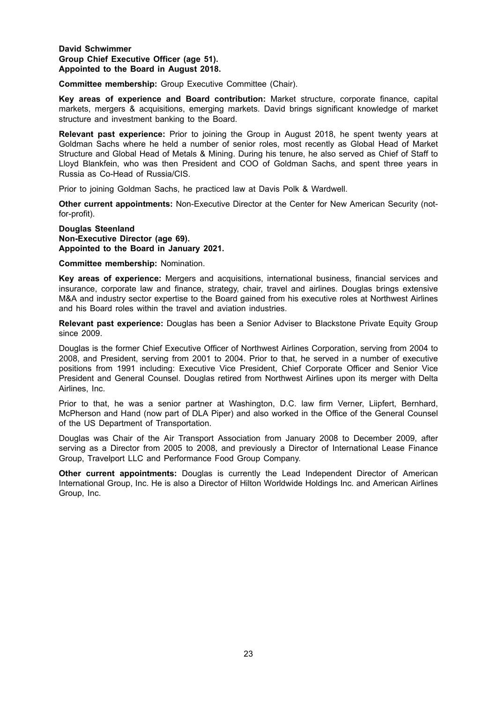# **David Schwimmer Group Chief Executive Officer (age 51). Appointed to the Board in August 2018.**

**Committee membership:** Group Executive Committee (Chair).

**Key areas of experience and Board contribution:** Market structure, corporate finance, capital markets, mergers & acquisitions, emerging markets. David brings significant knowledge of market structure and investment banking to the Board.

**Relevant past experience:** Prior to joining the Group in August 2018, he spent twenty years at Goldman Sachs where he held a number of senior roles, most recently as Global Head of Market Structure and Global Head of Metals & Mining. During his tenure, he also served as Chief of Staff to Lloyd Blankfein, who was then President and COO of Goldman Sachs, and spent three years in Russia as Co-Head of Russia/CIS.

Prior to joining Goldman Sachs, he practiced law at Davis Polk & Wardwell.

**Other current appointments:** Non-Executive Director at the Center for New American Security (notfor-profit).

### **Douglas Steenland Non-Executive Director (age 69). Appointed to the Board in January 2021.**

**Committee membership:** Nomination.

**Key areas of experience:** Mergers and acquisitions, international business, financial services and insurance, corporate law and finance, strategy, chair, travel and airlines. Douglas brings extensive M&A and industry sector expertise to the Board gained from his executive roles at Northwest Airlines and his Board roles within the travel and aviation industries.

**Relevant past experience:** Douglas has been a Senior Adviser to Blackstone Private Equity Group since 2009.

Douglas is the former Chief Executive Officer of Northwest Airlines Corporation, serving from 2004 to 2008, and President, serving from 2001 to 2004. Prior to that, he served in a number of executive positions from 1991 including: Executive Vice President, Chief Corporate Officer and Senior Vice President and General Counsel. Douglas retired from Northwest Airlines upon its merger with Delta Airlines, Inc.

Prior to that, he was a senior partner at Washington, D.C. law firm Verner, Liipfert, Bernhard, McPherson and Hand (now part of DLA Piper) and also worked in the Office of the General Counsel of the US Department of Transportation.

Douglas was Chair of the Air Transport Association from January 2008 to December 2009, after serving as a Director from 2005 to 2008, and previously a Director of International Lease Finance Group, Travelport LLC and Performance Food Group Company.

**Other current appointments:** Douglas is currently the Lead Independent Director of American International Group, Inc. He is also a Director of Hilton Worldwide Holdings Inc. and American Airlines Group, Inc.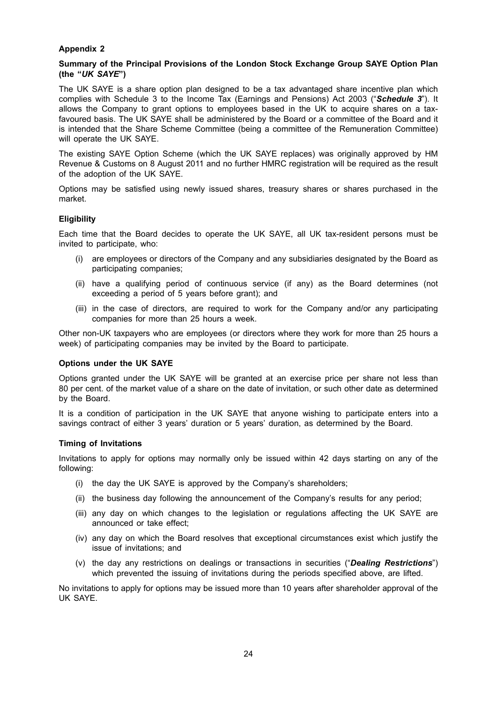# **Appendix 2**

## **Summary of the Principal Provisions of the London Stock Exchange Group SAYE Option Plan (the "***UK SAYE***")**

The UK SAYE is a share option plan designed to be a tax advantaged share incentive plan which complies with Schedule 3 to the Income Tax (Earnings and Pensions) Act 2003 ("*Schedule 3*"). It allows the Company to grant options to employees based in the UK to acquire shares on a taxfavoured basis. The UK SAYE shall be administered by the Board or a committee of the Board and it is intended that the Share Scheme Committee (being a committee of the Remuneration Committee) will operate the UK SAYE.

The existing SAYE Option Scheme (which the UK SAYE replaces) was originally approved by HM Revenue & Customs on 8 August 2011 and no further HMRC registration will be required as the result of the adoption of the UK SAYE.

Options may be satisfied using newly issued shares, treasury shares or shares purchased in the market.

### **Eligibility**

Each time that the Board decides to operate the UK SAYE, all UK tax-resident persons must be invited to participate, who:

- (i) are employees or directors of the Company and any subsidiaries designated by the Board as participating companies;
- (ii) have a qualifying period of continuous service (if any) as the Board determines (not exceeding a period of 5 years before grant); and
- (iii) in the case of directors, are required to work for the Company and/or any participating companies for more than 25 hours a week.

Other non-UK taxpayers who are employees (or directors where they work for more than 25 hours a week) of participating companies may be invited by the Board to participate.

### **Options under the UK SAYE**

Options granted under the UK SAYE will be granted at an exercise price per share not less than 80 per cent. of the market value of a share on the date of invitation, or such other date as determined by the Board.

It is a condition of participation in the UK SAYE that anyone wishing to participate enters into a savings contract of either 3 years' duration or 5 years' duration, as determined by the Board.

### **Timing of Invitations**

Invitations to apply for options may normally only be issued within 42 days starting on any of the following:

- (i) the day the UK SAYE is approved by the Company's shareholders;
- (ii) the business day following the announcement of the Company's results for any period;
- (iii) any day on which changes to the legislation or regulations affecting the UK SAYE are announced or take effect;
- (iv) any day on which the Board resolves that exceptional circumstances exist which justify the issue of invitations; and
- (v) the day any restrictions on dealings or transactions in securities ("*Dealing Restrictions*") which prevented the issuing of invitations during the periods specified above, are lifted.

No invitations to apply for options may be issued more than 10 years after shareholder approval of the UK SAYE.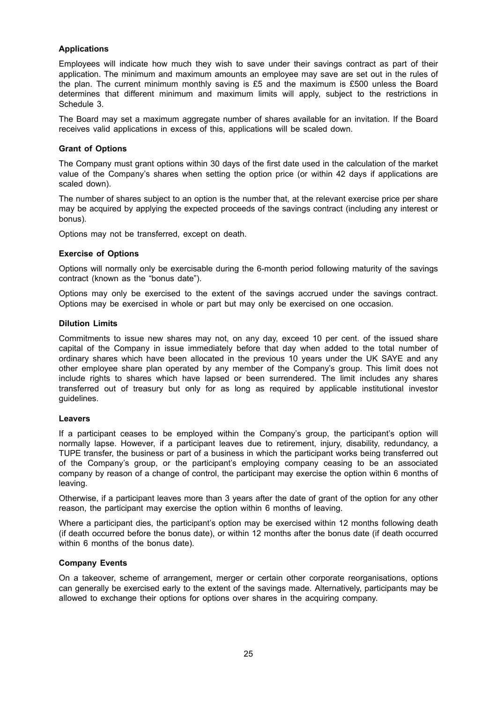# **Applications**

Employees will indicate how much they wish to save under their savings contract as part of their application. The minimum and maximum amounts an employee may save are set out in the rules of the plan. The current minimum monthly saving is £5 and the maximum is £500 unless the Board determines that different minimum and maximum limits will apply, subject to the restrictions in Schedule 3.

The Board may set a maximum aggregate number of shares available for an invitation. If the Board receives valid applications in excess of this, applications will be scaled down.

# **Grant of Options**

The Company must grant options within 30 days of the first date used in the calculation of the market value of the Company's shares when setting the option price (or within 42 days if applications are scaled down).

The number of shares subject to an option is the number that, at the relevant exercise price per share may be acquired by applying the expected proceeds of the savings contract (including any interest or bonus).

Options may not be transferred, except on death.

# **Exercise of Options**

Options will normally only be exercisable during the 6-month period following maturity of the savings contract (known as the "bonus date").

Options may only be exercised to the extent of the savings accrued under the savings contract. Options may be exercised in whole or part but may only be exercised on one occasion.

### **Dilution Limits**

Commitments to issue new shares may not, on any day, exceed 10 per cent. of the issued share capital of the Company in issue immediately before that day when added to the total number of ordinary shares which have been allocated in the previous 10 years under the UK SAYE and any other employee share plan operated by any member of the Company's group. This limit does not include rights to shares which have lapsed or been surrendered. The limit includes any shares transferred out of treasury but only for as long as required by applicable institutional investor guidelines.

### **Leavers**

If a participant ceases to be employed within the Company's group, the participant's option will normally lapse. However, if a participant leaves due to retirement, injury, disability, redundancy, a TUPE transfer, the business or part of a business in which the participant works being transferred out of the Company's group, or the participant's employing company ceasing to be an associated company by reason of a change of control, the participant may exercise the option within 6 months of leaving.

Otherwise, if a participant leaves more than 3 years after the date of grant of the option for any other reason, the participant may exercise the option within 6 months of leaving.

Where a participant dies, the participant's option may be exercised within 12 months following death (if death occurred before the bonus date), or within 12 months after the bonus date (if death occurred within 6 months of the bonus date).

### **Company Events**

On a takeover, scheme of arrangement, merger or certain other corporate reorganisations, options can generally be exercised early to the extent of the savings made. Alternatively, participants may be allowed to exchange their options for options over shares in the acquiring company.